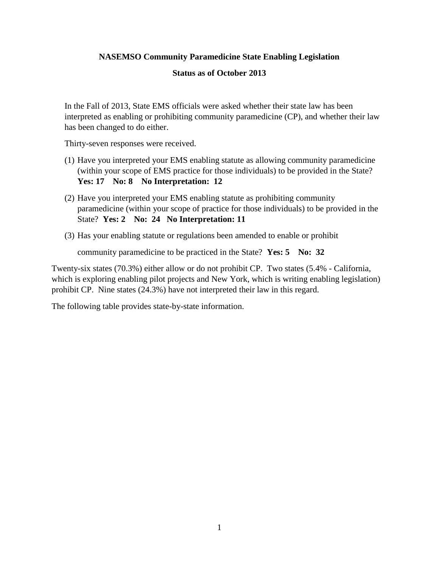## **NASEMSO Community Paramedicine State Enabling Legislation**

## **Status as of October 2013**

In the Fall of 2013, State EMS officials were asked whether their state law has been interpreted as enabling or prohibiting community paramedicine (CP), and whether their law has been changed to do either.

Thirty-seven responses were received.

- (1) Have you interpreted your EMS enabling statute as allowing community paramedicine (within your scope of EMS practice for those individuals) to be provided in the State? **Yes: 17 No: 8 No Interpretation: 12**
- (2) Have you interpreted your EMS enabling statute as prohibiting community paramedicine (within your scope of practice for those individuals) to be provided in the State? **Yes: 2 No: 24 No Interpretation: 11**
- (3) Has your enabling statute or regulations been amended to enable or prohibit

community paramedicine to be practiced in the State? **Yes: 5 No: 32**

Twenty-six states (70.3%) either allow or do not prohibit CP. Two states (5.4% - California, which is exploring enabling pilot projects and New York, which is writing enabling legislation) prohibit CP. Nine states (24.3%) have not interpreted their law in this regard.

The following table provides state-by-state information.